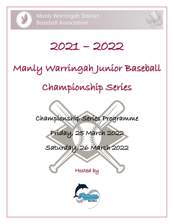



# 2021 – 2022

# Manly Warringah Junior Baseball

# Championship Series

Championship Series Programme

Friday, 25 March 2022

Saturday, 26 March 2022

Hosted by

֞֘

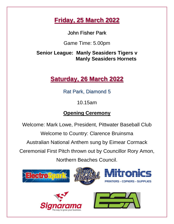## **Friday, 25 March 2022**

John Fisher Park

Game Time: 5.00pm

**Senior League: Manly Seasiders Tigers v Manly Seasiders Hornets**

## **Saturday, 26 March 2022**

Rat Park, Diamond 5

10.15am

## **Opening Ceremony**

Welcome: Mark Lowe, President, Pittwater Baseball Club

Welcome to Country: Clarence Bruinsma

Australian National Anthem sung by Eimear Cormack

Ceremonial First Pitch thrown out by Councillor Rory Amon,

Northern Beaches Council.





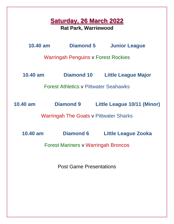## **Saturday, 26 March 2022**

**Rat Park, Warriewood**

**10.40 am Diamond 5 Junior League**

Warringah Penguins v Forest Rockies

**10.40 am Diamond 10 Little League Major**

Forest Athletics v Pittwater Seahawks

**10.40 am Diamond 9 Little League 10/11 (Minor)**

Warringah The Goats v Pittwater Sharks

**10.40 am Diamond 6 Little League Zooka**

Forest Mariners v Warringah Broncos

Post Game Presentations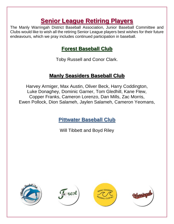## **Senior League Retiring Players**

The Manly Warringah District Baseball Association, Junior Baseball Committee and Clubs would like to wish all the retiring Senior League players best wishes for their future endeavours, which we pray includes continued participation in baseball.

## **Forest Baseball Club**

Toby Russell and Conor Clark.

## **Manly Seasiders Baseball Club**

Harvey Armiger, Max Austin, Oliver Beck, Harry Coddington, Luke Donaghey, Dominic Garner, Tom Gledhill, Kane Flew, Copper Franks, Cameron Lorenzo, Dan Mills, Zac Morris, Ewen Pollock, Dion Salameh, Jaylen Salameh, Cameron Yeomans,

**Pittwater Baseball Club**

Will Tibbett and Boyd Riley







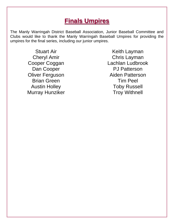## **Finals Umpires**

The Manly Warringah District Baseball Association, Junior Baseball Committee and Clubs would like to thank the Manly Warringah Baseball Umpires for providing the umpires for the final series, including our junior umpires.

> Stuart Air Cheryl Amir Cooper Coggan Dan Cooper Oliver Ferguson Brian Green Austin Holley Murray Hunziker

Keith Layman Chris Layman Lachlan Ludbrook PJ Patterson Aiden Patterson Tim Peel Toby Russell Troy Withnell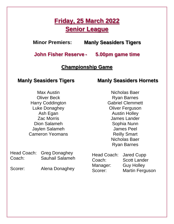## **Friday, 25 March 2022 Senior League**

**Minor Premiers: Manly Seasiders Tigers**

**John Fisher Reserve - 5.00pm game time**

## **Championship Game**

### **Manly Seasiders Tigers**

Max Austin Oliver Beck Harry Coddington Luke Donaghey Ash Egan Zac Morris Dion Salameh Jaylen Salameh Cameron Yeomans **Manly Seasiders Hornets**

Nicholas Baer Ryan Barnes Gabriel Clemmett Oliver Ferguson Austin Holley James Lander Sophia Nunn James Peel Reilly Smart Nicholas Baer Ryan Barnes

| Coach:  | Head Coach: Greg Donaghey<br><b>Sauhail Salameh</b> | Head Coach: Jared Cupp<br>Coach: | <b>Scott Lander</b>                         |
|---------|-----------------------------------------------------|----------------------------------|---------------------------------------------|
| Scorer: | Alena Donaghey                                      | Manager:<br>Scorer:              | <b>Guy Holley</b><br><b>Martin Ferguson</b> |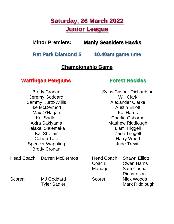## **Saturday, 26 March 2022 Junior League**

**Minor Premiers: Manly Seasiders Hawks**

**Rat Park Diamond 5 10.40am game time**

### **Championship Game**

### **Warringah Pengiuns**

Brody Cronan Jeremy Goddard Sammy Kurtz-Willis Ike McDermott Max O'Hagan Kai Sadler Akira Sakiyama Talakai Sialemaka Kai St Clair Cohen Tate Spencer Wappling Brody Cronan

Head Coach: Darren McDermott

Scorer: MJ Goddard

Tyler Sadler

### **Forest Rockies**

Sylas Caspar-Richardson Will Clark Alexander Clarke Austin Elliott Kai Harris Charlie Osborne Matthew Riddiough Liam Triggell Zach Triggell Harry Wood Jude Trevitt

Head Coach: Shawn Elliott Coach: Owen Harris

Manager: Sam Caspar-Richardson Scorer: Nick Woods Mark Riddiough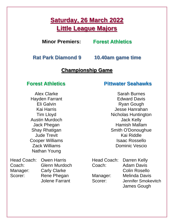## **Saturday, 26 March 2022 Little League Majors**

### **Minor Premiers: Forest Athletics**

**Rat Park Diamond 9 10.40am game time**

## **Championship Game**

## **Forest Athletics**

Alex Clarke Hayden Farrant Eli Galvin Kai Harris Tim Lloyd Austin Murdoch Jack Phegan Shay Rhatigan Jude Trevit Cooper Williams Zack Williams Nathan Young

Head Coach: Owen Harris Coach: Glenn Murdoch Manager: Carly Clarke Scorer: Rene Phegan Jolene Farrant

## **Pittwater Seahawks**

Sarah Burnes Edward Davis Ryan Gough Jesse Hanrahan Nicholas Huntington Jack Kelly Hamish Mallam Smith O'Donoughue Kai Riddle Isaac Rossello Dominic Vescio

Head Coach: Darren Kelly Coach: Adam Davis

Colin Rosello Manager: Melinda Davis Scorer: **Jennifer Smokevitch** James Gough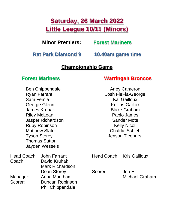## **Saturday, 26 March 2022 Little League 10/11 (Minors)**

**Minor Premiers: Forest Mariners**

**Rat Park Diamond 9 10.40am game time**

### **Championship Game**

### **Forest Mariners**

### **Warringah Broncos**

Arley Cameron

Ben Chippendale Ryan Farrant Sam Femia George Glenn James Kruhak Riley McLean Jasper Richardson Ruby Robinson Matthew Slater Tyson Storey Thomas Sutton Jayden Wessels

Head Coach: John Farrant Coach: David Kruhak

Manager: Anna Markham Scorer: Duncan Robinson

Mark Richardson

Phil Chippendale

Dean Storey

Josh FieFia-George Kai Gailloux Kollins Gaillox Blake Graham Pablo James Sander Mote Kelly Nicoll Chalrlie Schieb Jenson Ticehurst

Head Coach: Kris Gallioux

Scorer: Jen Hill Michael Graham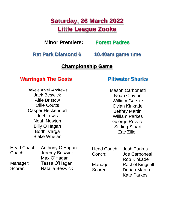## **Saturday, 26 March 2022 Little League Zooka**

## **Minor Premiers: Forest Padres**

**Rat Park Diamond 6 10.40am game time**

## **Championship Game**

## **Warringah The Goats**

Bekele Arkell-Andrews Jack Beswick Alfie Bristow Ollie Coutts Casper Heckendorf Joel Lewis Noah Newton Billy O'Hagan Bodhi Varga Blake Whelan

### **Pittwater Sharks**

Mason Carbonetti Noah Clayton William Garske Dylan Kinkade Jeffrey Martin William Parkes George Rovere Stirling Stuart Zac Zilioli

|                               | Head Coach: Anthony O'Hagan                                                     | Head Coach: Josh Parkes |                        |
|-------------------------------|---------------------------------------------------------------------------------|-------------------------|------------------------|
| Coach:<br>Manager:<br>Scorer: | <b>Jeremy Beswick</b><br>Max O'Hagan<br>Tessa O'Hagan<br><b>Natalie Beswick</b> | Coach:                  | Joe Carbonetti         |
|                               |                                                                                 |                         | <b>Rob Kinkade</b>     |
|                               |                                                                                 | Manager:                | <b>Rachel Kingsell</b> |
|                               |                                                                                 | Scorer:                 | <b>Dorian Martin</b>   |
|                               |                                                                                 |                         | <b>Kate Parkes</b>     |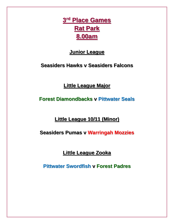**3 rd Place Games Rat Park 8.00am**

## **Junior League**

**Seasiders Hawks v Seasiders Falcons**

**Little League Major**

**Forest Diamondbacks v Pittwater Seals**

**Little League 10/11 (Minor)**

**Seasiders Pumas v Warringah Mozzies**

**Little League Zooka**

**Pittwater Swordfish v Forest Padres**